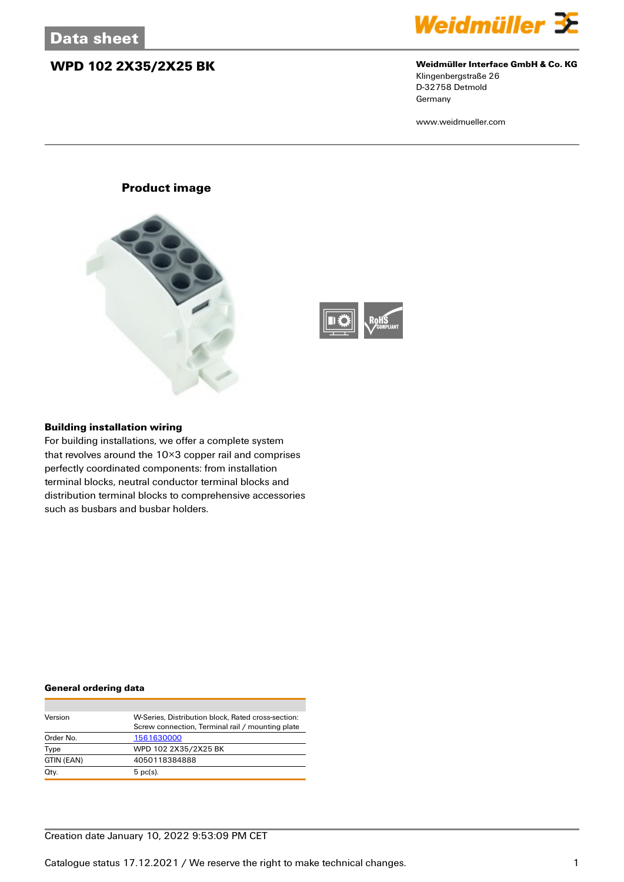## **WPD 102 2X35/2X25 BK Weidmüller Interface GmbH & Co. KG**



Klingenbergstraße 26 D-32758 Detmold **Germany** 

www.weidmueller.com

### **Product image**





#### **Building installation wiring**

For building installations, we offer a complete system that revolves around the 10×3 copper rail and comprises perfectly coordinated components: from installation terminal blocks, neutral conductor terminal blocks and distribution terminal blocks to comprehensive accessories such as busbars and busbar holders.

#### **General ordering data**

| Version    | W-Series, Distribution block, Rated cross-section: |
|------------|----------------------------------------------------|
|            | Screw connection, Terminal rail / mounting plate   |
| Order No.  | 1561630000                                         |
| Type       | WPD 102 2X35/2X25 BK                               |
| GTIN (EAN) | 4050118384888                                      |
| Qty.       | $5$ pc(s).                                         |

### Creation date January 10, 2022 9:53:09 PM CET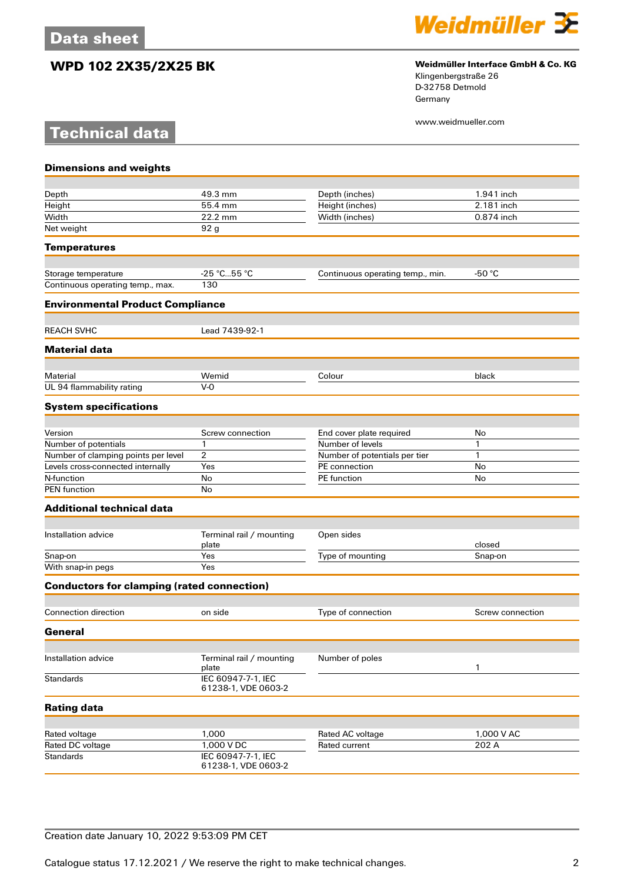**Technical data**

## **WPD 102 2X35/2X25 BK Weidmüller Interface GmbH & Co. KG**



Klingenbergstraße 26 D-32758 Detmold Germany

www.weidmueller.com

| <b>Dimensions and weights</b>                     |                                           |                                  |                  |
|---------------------------------------------------|-------------------------------------------|----------------------------------|------------------|
|                                                   |                                           |                                  |                  |
| Depth                                             | 49.3 mm                                   | Depth (inches)                   | 1.941 inch       |
| Height                                            | 55.4 mm                                   | Height (inches)                  | 2.181 inch       |
| Width                                             | 22.2 mm                                   | Width (inches)                   | 0.874 inch       |
| Net weight                                        | 92 <sub>g</sub>                           |                                  |                  |
| <b>Temperatures</b>                               |                                           |                                  |                  |
| Storage temperature                               | $-25 °C55 °C$                             | Continuous operating temp., min. | -50 $°C$         |
| Continuous operating temp., max.                  | 130                                       |                                  |                  |
| <b>Environmental Product Compliance</b>           |                                           |                                  |                  |
| <b>REACH SVHC</b>                                 | Lead 7439-92-1                            |                                  |                  |
| <b>Material data</b>                              |                                           |                                  |                  |
|                                                   |                                           |                                  |                  |
| Material                                          | Wemid                                     | Colour                           | black            |
| UL 94 flammability rating                         | $V-0$                                     |                                  |                  |
| <b>System specifications</b>                      |                                           |                                  |                  |
| Version                                           | Screw connection                          | End cover plate required         | No               |
| Number of potentials                              | 1                                         | Number of levels                 | 1                |
| Number of clamping points per level               | 2                                         | Number of potentials per tier    | 1                |
| Levels cross-connected internally                 | Yes                                       | PE connection                    | No               |
| N-function                                        | No                                        | PE function                      | No               |
| <b>PEN</b> function                               | No                                        |                                  |                  |
| <b>Additional technical data</b>                  |                                           |                                  |                  |
|                                                   |                                           |                                  |                  |
| Installation advice                               | Terminal rail / mounting<br>plate         | Open sides                       | closed           |
| Snap-on                                           | Yes                                       | Type of mounting                 | Snap-on          |
| With snap-in pegs                                 | Yes                                       |                                  |                  |
| <b>Conductors for clamping (rated connection)</b> |                                           |                                  |                  |
| <b>Connection direction</b>                       | on side                                   | Type of connection               | Screw connection |
| General                                           |                                           |                                  |                  |
|                                                   |                                           |                                  |                  |
| Installation advice                               | Terminal rail / mounting<br>plate         | Number of poles                  | 1                |
| <b>Standards</b>                                  | IEC 60947-7-1, IEC<br>61238-1, VDE 0603-2 |                                  |                  |
| <b>Rating data</b>                                |                                           |                                  |                  |
|                                                   |                                           |                                  |                  |
| Rated voltage                                     | 1,000                                     | Rated AC voltage                 | 1,000 V AC       |
| Rated DC voltage                                  | 1,000 V DC                                | Rated current                    | 202 A            |
| <b>Standards</b>                                  | IEC 60947-7-1, IEC<br>61238-1, VDE 0603-2 |                                  |                  |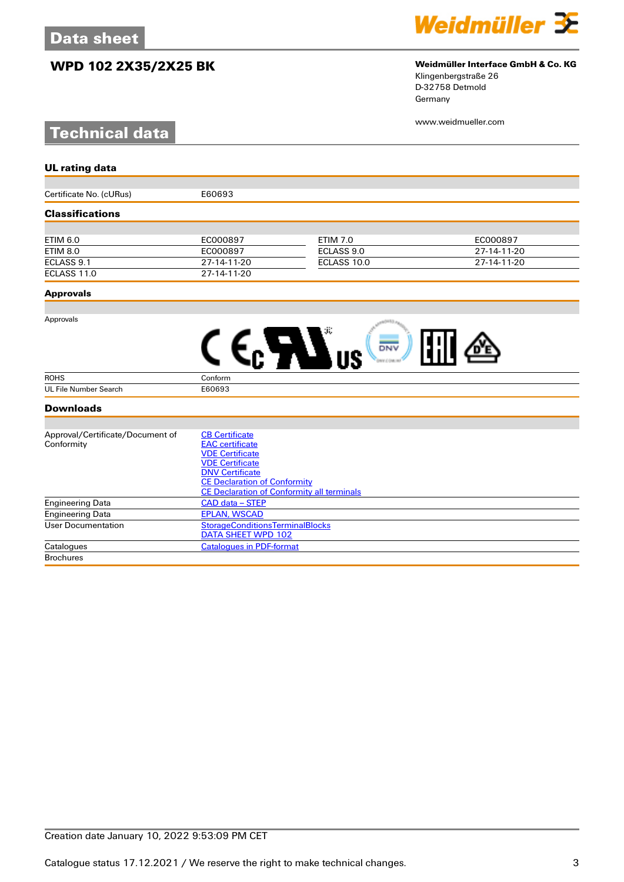## **WPD 102 2X35/2X25 BK Weidmüller Interface GmbH & Co. KG**

# **Technical data**



# Klingenbergstraße 26

D-32758 Detmold Germany

www.weidmueller.com

| <b>UL rating data</b>            |                                                   |                 |             |  |
|----------------------------------|---------------------------------------------------|-----------------|-------------|--|
|                                  |                                                   |                 |             |  |
| Certificate No. (cURus)          | E60693                                            |                 |             |  |
| <b>Classifications</b>           |                                                   |                 |             |  |
|                                  |                                                   |                 |             |  |
| <b>ETIM 6.0</b>                  | EC000897                                          | <b>ETIM 7.0</b> | EC000897    |  |
| <b>ETIM 8.0</b>                  | EC000897                                          | ECLASS 9.0      | 27-14-11-20 |  |
| ECLASS 9.1                       | 27-14-11-20                                       | ECLASS 10.0     | 27-14-11-20 |  |
| ECLASS 11.0                      | 27-14-11-20                                       |                 |             |  |
| <b>Approvals</b>                 |                                                   |                 |             |  |
|                                  |                                                   |                 |             |  |
| Approvals                        |                                                   |                 |             |  |
|                                  |                                                   |                 |             |  |
|                                  |                                                   | DNV             |             |  |
| <b>ROHS</b>                      | Conform                                           |                 |             |  |
| <b>UL File Number Search</b>     | E60693                                            |                 |             |  |
| <b>Downloads</b>                 |                                                   |                 |             |  |
|                                  |                                                   |                 |             |  |
| Approval/Certificate/Document of | <b>CB Certificate</b>                             |                 |             |  |
| Conformity                       | <b>EAC</b> certificate                            |                 |             |  |
|                                  | <b>VDE Certificate</b>                            |                 |             |  |
|                                  | <b>VDE Certificate</b>                            |                 |             |  |
|                                  | <b>DNV Certificate</b>                            |                 |             |  |
|                                  | <b>CE Declaration of Conformity</b>               |                 |             |  |
|                                  | <b>CE Declaration of Conformity all terminals</b> |                 |             |  |
| <b>Engineering Data</b>          | CAD data - STEP                                   |                 |             |  |
| <b>Engineering Data</b>          | <b>EPLAN, WSCAD</b>                               |                 |             |  |
| <b>User Documentation</b>        | <b>StorageConditionsTerminalBlocks</b>            |                 |             |  |
|                                  | <b>DATA SHEET WPD 102</b>                         |                 |             |  |

Catalogues [Catalogues in PDF-format](http://catalog.weidmueller.com/assets/LINK/Catalog.html)

**Brochures**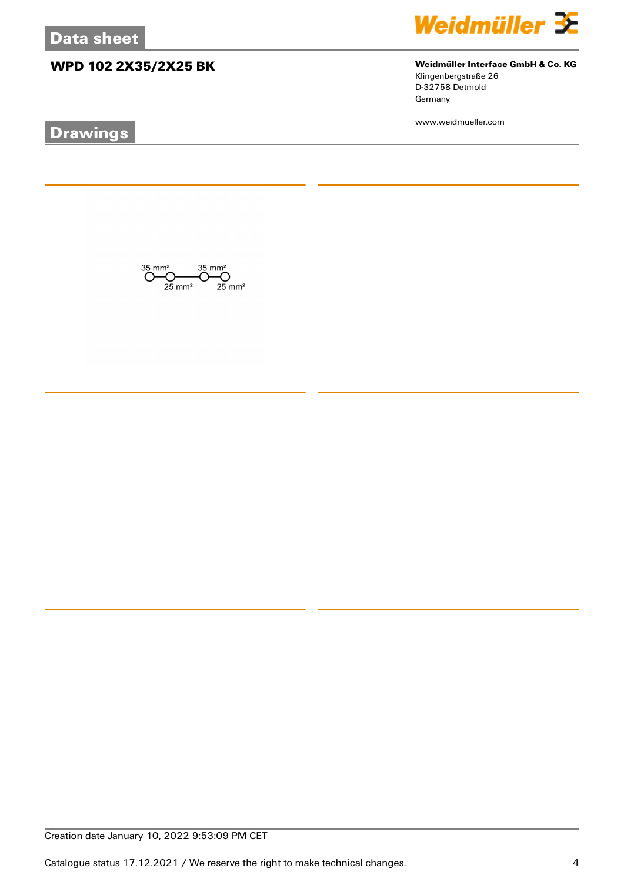# **WPD 102 2X35/2X25 BK Weidmüller Interface GmbH & Co. KG**

# **Drawings**



Klingenbergstraße 26 D-32758 Detmold Germany

www.weidmueller.com

 $\bigodot \hspace{-0.5em}\begin{array}{c}\hspace{-0.5em}35 \hspace{-0.5em}\mod\hspace{-0.2em} 35 \hspace{-0.5em}\mod\hspace{-0.2em} 35\,mm^2\\ \hspace{-0.5em}\bigodot \hspace{-0.5em}\bigodot \hspace{-0.5em}\bigodot \hspace{-0.5em}\bigodot \hspace{-0.5em}\bigodot \hspace{-0.5em}\mod\hspace{-0.2em} 35 \hspace{-0.5em}\mod\hspace{-0.2em} 35\,mm^2\\ \hspace{-0.5em}\text{25 mm}^2 \hspace{-0.5em}\mod\hspace{-$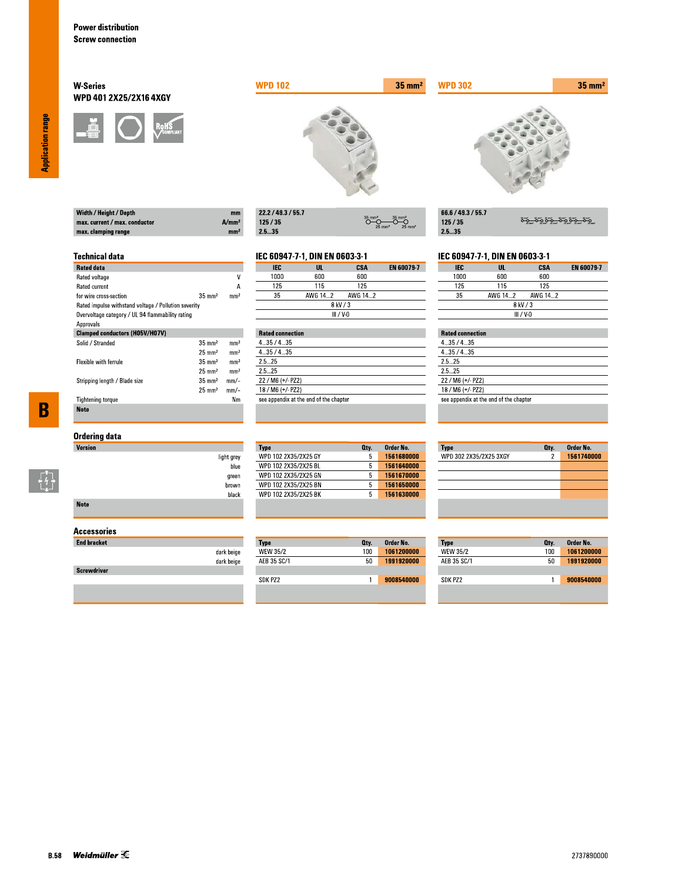Width / Height / Depth max. current / max. conductor

max. clamping range

**Technical data** 

for wire cross-section

Rated data Rated voltage

Rated current

Approvals

Solid / Stranded

Flexible with ferrule

**Tightening torque** 

**Note** 

Stripping length / Blade size

### **W-Series** WPD 401 2X25/2X16 4XGY



Rated impulse withstand voltage / Pollution severity Overvoltage category / UL 94 flammability rating

**Clamped conductors (H05V/H07V)** 



| 22.2 / 49.3 / 55.7 |                                                                   |
|--------------------|-------------------------------------------------------------------|
| 125/35             | $35$ mm <sup>2</sup><br>$25 \text{ mm}^2$<br>$25$ mm <sup>2</sup> |
| -- --              |                                                                   |

# IEC 60947-7-1, DIN EN 0603-3-1

 $A/mm<sup>2</sup>$ 

mm<sup>2</sup>

 $\overline{\mathsf{v}}$ 

 $\overline{A}$ 

 $mm<sup>2</sup>$ 

 $\rm mm^2$ 

 $\mathrm{mm}^2$ 

 $mm<sup>2</sup>$ 

 $mm<sup>2</sup>$ 

 $mm/-$ 

 $mm/-$ 

 $N<sub>m</sub>$ 

 $35 \text{ mm}^2$ 

 $35\;\mathrm{mm}^2$ 

 $25\;\mathrm{mm}^2$ 

 $35\;\mathrm{mm}^2$ 

 $25 \text{ mm}^2$ 

 $35 \text{ mm}^2$ 

 $25 \text{ mm}^2$ 

| IEC       | UL      | CSA     | <b>EN 60079-7</b> |  |
|-----------|---------|---------|-------------------|--|
| 1000      | 600     | 600     |                   |  |
| 125       | 115     | 125     |                   |  |
| 35        | AWG 142 | AWG 142 |                   |  |
| 8 kV / 3  |         |         |                   |  |
| III / V-N |         |         |                   |  |

|         | <b>Rated connection</b>                |  |  |  |
|---------|----------------------------------------|--|--|--|
| 435/435 |                                        |  |  |  |
| 435/435 |                                        |  |  |  |
| 25 25   |                                        |  |  |  |
| 25 25   |                                        |  |  |  |
|         | 22 / M6 (+/- PZ2)                      |  |  |  |
|         | 18 / M6 (+/- PZ2)                      |  |  |  |
|         | see appendix at the end of the chapter |  |  |  |

 $35 \text{ mm}^2$ 

| 66.6 / 49.3 / 55.7 |                       |
|--------------------|-----------------------|
| 125/35             | <u>ڝۊ؎ٷۄٷ؊ۊۄٷڝۊ</u> ٷ |
| 25.35              |                       |

#### IEC 60947-7-1, DIN EN 0603-3-1

| <b>IEC</b>  | UL      | CSA     | <b>EN 60079-7</b> |
|-------------|---------|---------|-------------------|
| 1000        | 600     | 600     |                   |
| 125         | 115     | 125     |                   |
| 35          | AWG 142 | AWG 142 |                   |
| 8 kV / 3    |         |         |                   |
| $III / V-0$ |         |         |                   |

## **Rated connection**

**WPD 302** 

| 4.35/4.35                              |  |
|----------------------------------------|--|
| 435/435                                |  |
| 2.5 25                                 |  |
| 25 25                                  |  |
| $22 / M6 (+/- PZ2)$                    |  |
| 18 / M6 (+/- PZ2)                      |  |
| see appendix at the end of the chapter |  |
|                                        |  |

# $\overline{\mathbf{B}}$

 $\begin{bmatrix} 7 \\ 4 \\ 1 \end{bmatrix}$ 

## **Ordering data**

| Version     |            |
|-------------|------------|
|             | light grey |
|             | blue       |
|             | green      |
|             | brown      |
|             | black      |
| <b>Note</b> |            |

#### **Accessories**

| <b>End bracket</b> |            |
|--------------------|------------|
|                    | dark beige |
|                    | dark beige |
| <b>Screwdriver</b> |            |
|                    |            |

#### Order No. **Type** Oty. WPD 102 2X35/2X25 GY 1561680000  $5<sup>7</sup>$ 1561640000 WPD 102 2X35/2X25 BL  $5<sup>1</sup>$ WPD 102 2X35/2X25 GN  $5<sub>1</sub>$ 1561670000 WPD 102 2X35/2X25 BN  $5 - 1561650000$ WPD 102 2X35/2X25 BK  $5<sup>7</sup>$ 1561630000

| Type        | Oty. | Order No.  |
|-------------|------|------------|
| WEW 35/2    | 100  | 1061200000 |
| AEB 35 SC/1 | 50   | 1991920000 |
|             |      |            |
| SDK PZ2     |      | 9008540000 |

| <b>Type</b>            | Qty. | Order No.  |
|------------------------|------|------------|
| WPD 302 2X35/2X25 3XGY | 2    | 1561740000 |
|                        |      |            |
|                        |      |            |
|                        |      |            |
|                        |      |            |
|                        |      |            |
|                        |      |            |

| Type            | Qty. | Order No.  |
|-----------------|------|------------|
| <b>WEW 35/2</b> | 100  | 1061200000 |
| AFB 35 SC/1     | 50   | 1991920000 |
|                 |      |            |
| SDK P72         |      | 9008540000 |

**Application range**